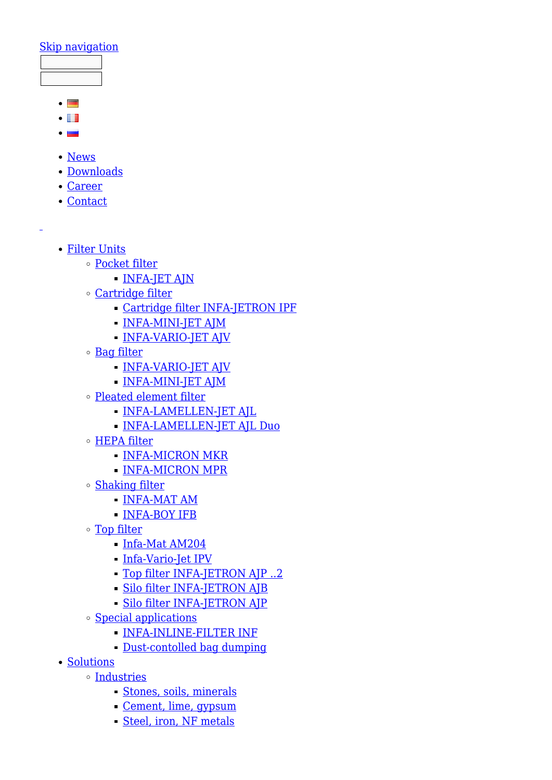#### [Skip navigation](https://www.infastaub.com/company/contact/infastaub-gmbh/#content)

- $\bullet$   $\blacksquare$
- $\bullet$   $\blacksquare$
- 
- [News](https://www.infastaub.com/user-navigation/news/)
- [Downloads](https://www.infastaub.com/user-navigation/downloads/)
- [Career](https://www.infastaub.com/user-navigation/career/)
- [Contact](https://www.infastaub.com/user-navigation/contact/)
- [Filter Units](https://www.infastaub.com/filter-units/)
	- [Pocket filter](https://www.infastaub.com/filter-units/pocket-filter/)
		- [INFA-JET AJN](https://www.infastaub.com/filter-units/pocket-filter/infa-jet-ajn/)
	- [Cartridge filter](https://www.infastaub.com/filter-units/cartridge-filter/)
		- [Cartridge filter INFA-JETRON IPF](https://www.infastaub.com/filter-units/cartridge-filter/cartridge-filter-infa-jetron-ajp/)
		- [INFA-MINI-JET AJM](https://www.infastaub.com/filter-units/cartridge-filter/infa-mini-jet-ajm/)
		- [INFA-VARIO-JET AJV](https://www.infastaub.com/filter-units/cartridge-filter/infa-vario-jet-ajv/)
	- [Bag filter](https://www.infastaub.com/filter-units/bag-filter/)
		- [INFA-VARIO-JET AJV](https://www.infastaub.com/filter-units/bag-filter/infa-vario-jet-ajv/)
		- [INFA-MINI-JET AJM](https://www.infastaub.com/filter-units/bag-filter/infa-mini-jet-ajm/)
	- o [Pleated element filter](https://www.infastaub.com/filter-units/pleated-element-filter/)
		- [INFA-LAMELLEN-JET AJL](https://www.infastaub.com/filter-units/pleated-element-filter/infa-lamellen-jet-ajl/)
		- [INFA-LAMELLEN-JET AJL Duo](https://www.infastaub.com/filter-units/pleated-element-filter/infa-lamellen-jet-ajl-duo/)
	- [HEPA filter](https://www.infastaub.com/filter-units/hepa-filter/)
		- [INFA-MICRON MKR](https://www.infastaub.com/filter-units/hepa-filter/infa-micron-mkr/)
		- [INFA-MICRON MPR](https://www.infastaub.com/filter-units/hepa-filter/infa-micron-mpr/)
	- [Shaking filter](https://www.infastaub.com/filter-units/shaking-filter/)
		- [INFA-MAT AM](https://www.infastaub.com/filter-units/shaking-filter/infa-mat-am/)
		- [INFA-BOY IFB](https://www.infastaub.com/filter-units/shaking-filter/infa-boy-ifb/)
	- [Top filter](https://www.infastaub.com/filter-units/silo-top-filter/)
		- [Infa-Mat AM204](https://www.infastaub.com/filter-units/top-filter/infa-mat-am204/)
		- [Infa-Vario-Jet IPV](https://www.infastaub.com/filter-units/silo-top-filter/infa-vario-jet-ipv/)
		- [Top filter INFA-JETRON AJP ..2](https://www.infastaub.com/filter-units/silo-top-filter/top-filter-infa-jetron-ajp-2/)
		- [Silo filter INFA-JETRON AJB](https://www.infastaub.com/filter-units/silo-top-filter/silo-filter-infa-jetron-ajb/)
		- [Silo filter INFA-JETRON AJP](https://www.infastaub.com/filter-units/silo-top-filter/silo-filter-infa-jetron-ajp/)
	- $\circ$  [Special applications](https://www.infastaub.com/filter-units/special-applications/)
		- [INFA-INLINE-FILTER INF](https://www.infastaub.com/filter-units/special-applications/infa-inline-filter-inf/)
		- [Dust-contolled bag dumping](https://www.infastaub.com/filter-units/special-applications/dust-contolled-bag-dumping/)
- [Solutions](https://www.infastaub.com/solutions/)
	- **o** [Industries](https://www.infastaub.com/solutions/industries/)
		- [Stones, soils, minerals](https://www.infastaub.com/solutions/industries/stones-soils-minerals/)
		- [Cement, lime, gypsum](https://www.infastaub.com/solutions/industries/cement-lime-gypsum/)
		- [Steel, iron, NF metals](https://www.infastaub.com/solutions/industries/steel-iron-nf-metals/)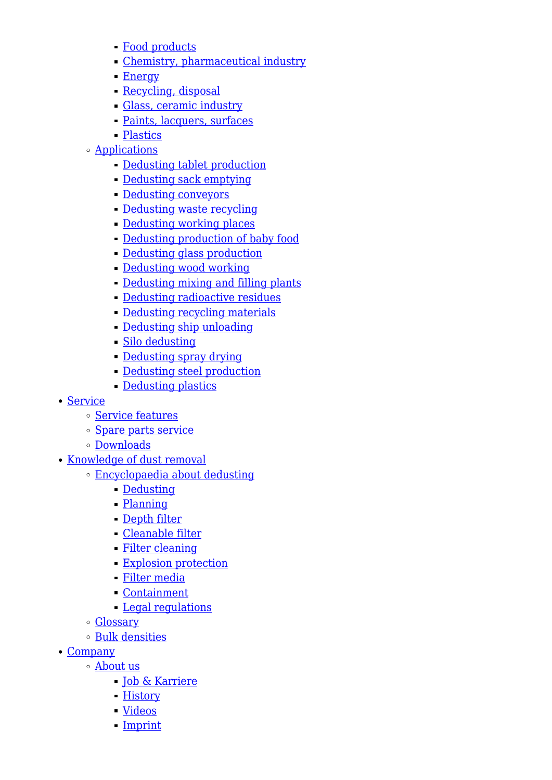- [Food products](https://www.infastaub.com/solutions/industries/food-products/)
- [Chemistry, pharmaceutical industry](https://www.infastaub.com/solutions/industries/chemistry-pharmaceutical-industry/)
- [Energy](https://www.infastaub.com/solutions/industries/energy/)
- [Recycling, disposal](https://www.infastaub.com/solutions/industries/recycling-disposal/)
- [Glass, ceramic industry](https://www.infastaub.com/solutions/industries/glass-ceramic-industry/)
- [Paints, lacquers, surfaces](https://www.infastaub.com/solutions/industries/paints-lacquers-surfaces/)
- [Plastics](https://www.infastaub.com/solutions/industries/plastics/)
- [Applications](https://www.infastaub.com/solutions/applications/)
	- [Dedusting tablet production](https://www.infastaub.com/solutions/applications/dedusting-tablet-production/)
	- [Dedusting sack emptying](https://www.infastaub.com/solutions/applications/dedusting-sack-emptying/)
	- [Dedusting conveyors](https://www.infastaub.com/solutions/applications/dedusting-conveyors/)
	- [Dedusting waste recycling](https://www.infastaub.com/solutions/applications/dedusting-waste-recycling/)
	- [Dedusting working places](https://www.infastaub.com/solutions/applications/dedusting-working-places/)
	- [Dedusting production of baby food](https://www.infastaub.com/solutions/applications/dedusting-production-of-baby-food/)
	- [Dedusting glass production](https://www.infastaub.com/solutions/applications/dedusting-glass-production/)
	- [Dedusting wood working](https://www.infastaub.com/solutions/applications/dedusting-wood-working/)
	- [Dedusting mixing and filling plants](https://www.infastaub.com/solutions/applications/dedusting-mixing-and-filling-plants/)
	- [Dedusting radioactive residues](https://www.infastaub.com/solutions/applications/dedusting-radioactive-residues/)
	- [Dedusting recycling materials](https://www.infastaub.com/solutions/applications/dedusting-recycling-materials/)
	- [Dedusting ship unloading](https://www.infastaub.com/solutions/applications/dedusting-ship-unloading/)
	- [Silo dedusting](https://www.infastaub.com/solutions/applications/silo-dedusting/)
	- [Dedusting spray drying](https://www.infastaub.com/solutions/applications/dedusting-spray-drying/)
	- [Dedusting steel production](https://www.infastaub.com/solutions/applications/dedusting-steel-production/)
	- [Dedusting plastics](https://www.infastaub.com/solutions/applications/dedusting-plastics/)
- [Service](https://www.infastaub.com/service/)
	- [Service features](https://www.infastaub.com/service/service-features/)
	- o [Spare parts service](https://www.infastaub.com/service/spare-parts-service/)
	- [Downloads](https://www.infastaub.com/service/downloads/)
- [Knowledge of dust removal](https://www.infastaub.com/knowledge-of-dust-removal/)
	- [Encyclopaedia about dedusting](https://www.infastaub.com/knowledge-of-dust-removal/encyclopaedia-about-dedusting/)
		- **[Dedusting](https://www.infastaub.com/knowledge-of-dust-removal/encyclopaedia-about-dedusting/dedusting/)**
		- [Planning](https://www.infastaub.com/knowledge-of-dust-removal/encyclopaedia-about-dedusting/planning/)
		- [Depth filter](https://www.infastaub.com/knowledge-of-dust-removal/encyclopaedia-about-dedusting/depth-filter/)
		- [Cleanable filter](https://www.infastaub.com/knowledge-of-dust-removal/encyclopaedia-about-dedusting/cleanable-filter/)
		- [Filter cleaning](https://www.infastaub.com/knowledge-of-dust-removal/encyclopaedia-about-dedusting/filter-cleaning/)
		- [Explosion protection](https://www.infastaub.com/knowledge-of-dust-removal/encyclopaedia-about-dedusting/explosion-protection/)
		- [Filter media](https://www.infastaub.com/knowledge-of-dust-removal/encyclopaedia-about-dedusting/filter-media/)
		- [Containment](https://www.infastaub.com/knowledge-of-dust-removal/encyclopaedia-about-dedusting/containment/)
		- [Legal regulations](https://www.infastaub.com/knowledge-of-dust-removal/encyclopaedia-about-dedusting/legal-regulations/)
	- [Glossary](https://www.infastaub.com/knowledge-of-dust-removal/glossary/)
	- [Bulk densities](https://www.infastaub.com/knowledge-of-dust-removal/bulk-densities/)
- [Company](https://www.infastaub.com/company/)
	- [About us](https://www.infastaub.com/company/about-us/)
		- [Job & Karriere](https://www.infastaub.com/company/about-us/job-karriere/)
		- [History](https://www.infastaub.com/company/about-us/history/)
		- [Videos](https://www.infastaub.com/company/about-us/videos/)
		- [Imprint](https://www.infastaub.com/company/about-us/imprint/)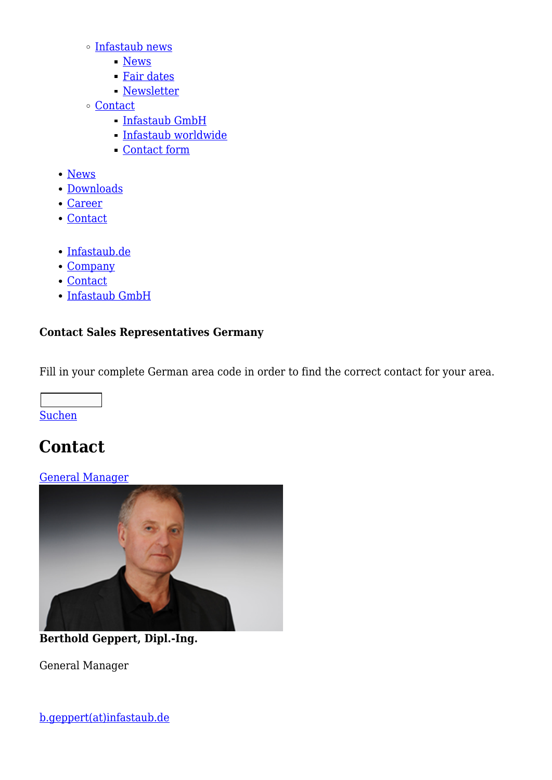- o [Infastaub news](https://www.infastaub.com/company/infastaub-news/)
	- [News](https://www.infastaub.com/company/infastaub-news/news/)
	- [Fair dates](https://www.infastaub.com/company/infastaub-news/fair-dates/)
	- [Newsletter](https://www.infastaub.com/company/infastaub-news/newsletter/)
- [Contact](https://www.infastaub.com/company/contact/)
	- [Infastaub GmbH](https://www.infastaub.com/company/contact/infastaub-gmbh/)
	- [Infastaub worldwide](https://www.infastaub.com/company/contact/infastaub-worldwide/)
	- [Contact form](https://www.infastaub.com/company/contact/contact-form/)
- [News](https://www.infastaub.com/user-navigation/news/)
- [Downloads](https://www.infastaub.com/user-navigation/downloads/)
- [Career](https://www.infastaub.com/user-navigation/career/)
- [Contact](https://www.infastaub.com/user-navigation/contact/)
- [Infastaub.de](https://www.infastaub.com/home/)
- [Company](https://www.infastaub.com/company/)
- [Contact](https://www.infastaub.com/company/contact/)
- [Infastaub GmbH](https://www.infastaub.com/company/contact/infastaub-gmbh/)

#### **Contact Sales Representatives Germany**

Fill in your complete German area code in order to find the correct contact for your area.



# **Contact**

[General Manager](#page--1-0)



**Berthold Geppert, Dipl.-Ing.**

General Manager

[b.geppert\(at\)infastaub.de](https://www.infastaub.com/javascript:linkTo_UnCryptMailto()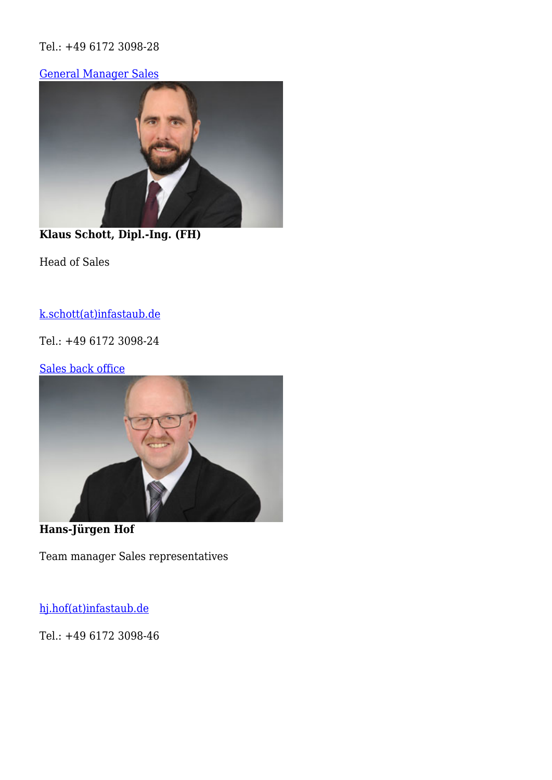### Tel.: +49 6172 3098-28

[General Manager Sales](#page--1-0)



**Klaus Schott, Dipl.-Ing. (FH)**

Head of Sales

[k.schott\(at\)infastaub.de](https://www.infastaub.com/javascript:linkTo_UnCryptMailto()

Tel.: +49 6172 3098-24

# [Sales back office](#page--1-0)



**Hans-Jürgen Hof**

Team manager Sales representatives

[hj.hof\(at\)infastaub.de](https://www.infastaub.com/javascript:linkTo_UnCryptMailto()

Tel.: +49 6172 3098-46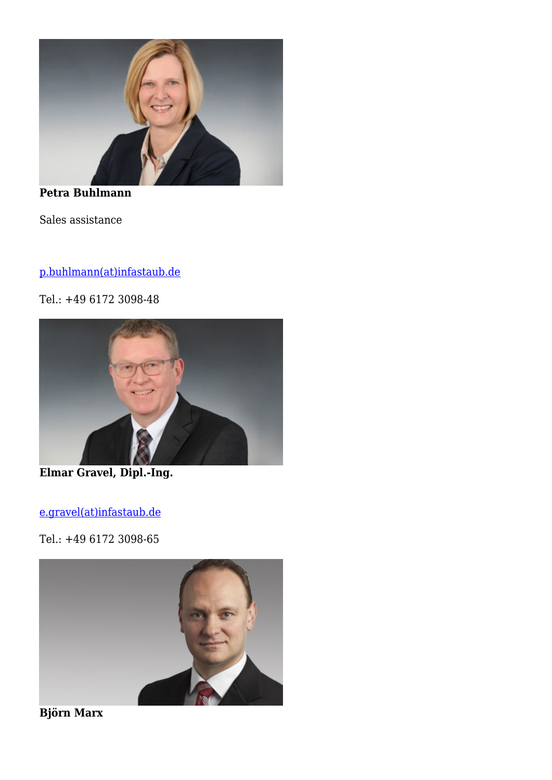

**Petra Buhlmann**

Sales assistance

[p.buhlmann\(at\)infastaub.de](https://www.infastaub.com/javascript:linkTo_UnCryptMailto()

Tel.: +49 6172 3098-48



**Elmar Gravel, Dipl.-Ing.**

[e.gravel\(at\)infastaub.de](https://www.infastaub.com/javascript:linkTo_UnCryptMailto()

Tel.: +49 6172 3098-65



**Björn Marx**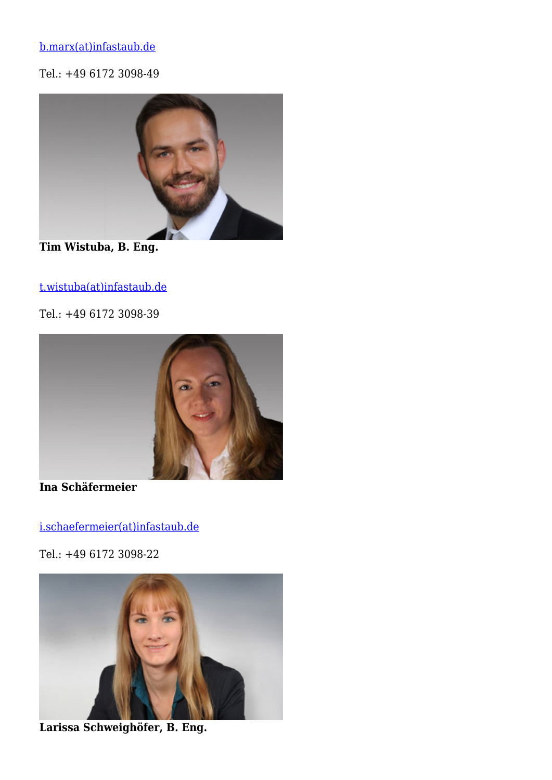### [b.marx\(at\)infastaub.de](https://www.infastaub.com/javascript:linkTo_UnCryptMailto()

#### Tel.: +49 6172 3098-49



**Tim Wistuba, B. Eng.**

#### [t.wistuba\(at\)infastaub.de](https://www.infastaub.com/javascript:linkTo_UnCryptMailto()

Tel.: +49 6172 3098-39



**Ina Schäfermeier**

[i.schaefermeier\(at\)infastaub.de](https://www.infastaub.com/javascript:linkTo_UnCryptMailto()

Tel.: +49 6172 3098-22



**Larissa Schweighöfer, B. Eng.**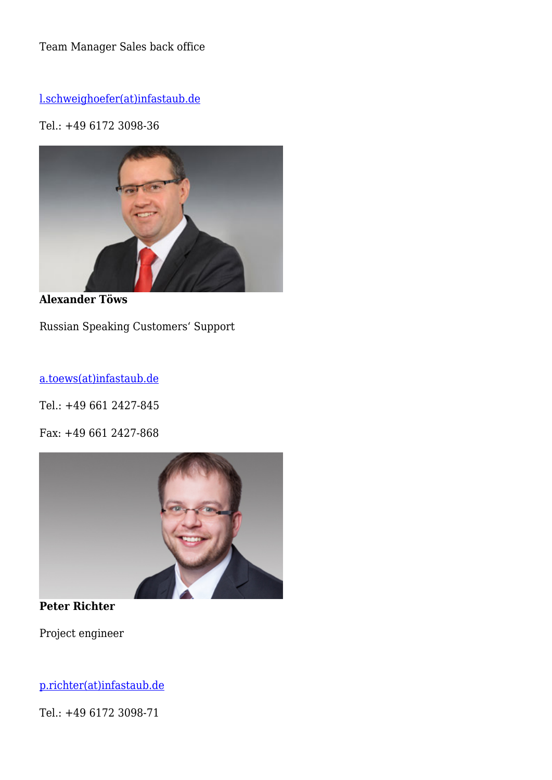[l.schweighoefer\(at\)infastaub.de](https://www.infastaub.com/javascript:linkTo_UnCryptMailto()

#### Tel.: +49 6172 3098-36



**Alexander Töws**

Russian Speaking Customers' Support

#### [a.toews\(at\)infastaub.de](https://www.infastaub.com/javascript:linkTo_UnCryptMailto()

Tel.: +49 661 2427-845

Fax: +49 661 2427-868



**Peter Richter**

Project engineer

[p.richter\(at\)infastaub.de](https://www.infastaub.com/javascript:linkTo_UnCryptMailto()

Tel.: +49 6172 3098-71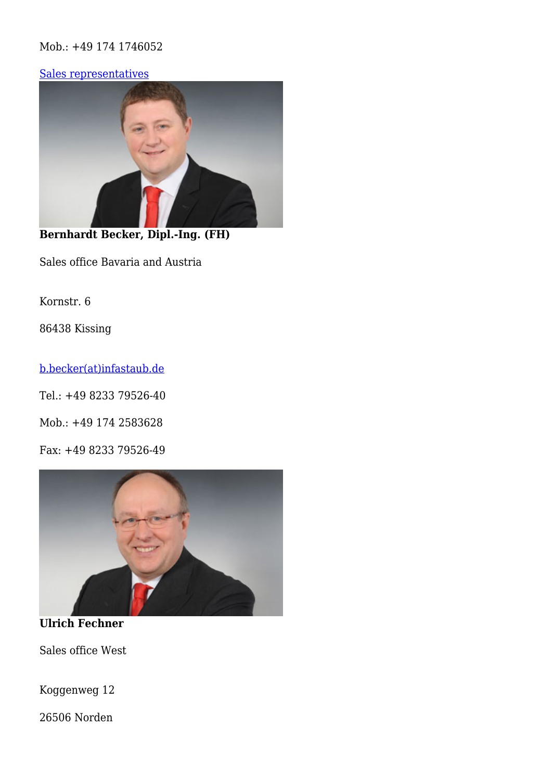#### Mob.: +49 174 1746052

[Sales representatives](#page--1-0)



**Bernhardt Becker, Dipl.-Ing. (FH)**

Sales office Bavaria and Austria

Kornstr. 6

86438 Kissing

[b.becker\(at\)infastaub.de](https://www.infastaub.com/javascript:linkTo_UnCryptMailto()

Tel.: +49 8233 79526-40

Mob.: +49 174 2583628

Fax: +49 8233 79526-49



**Ulrich Fechner**

Sales office West

Koggenweg 12

26506 Norden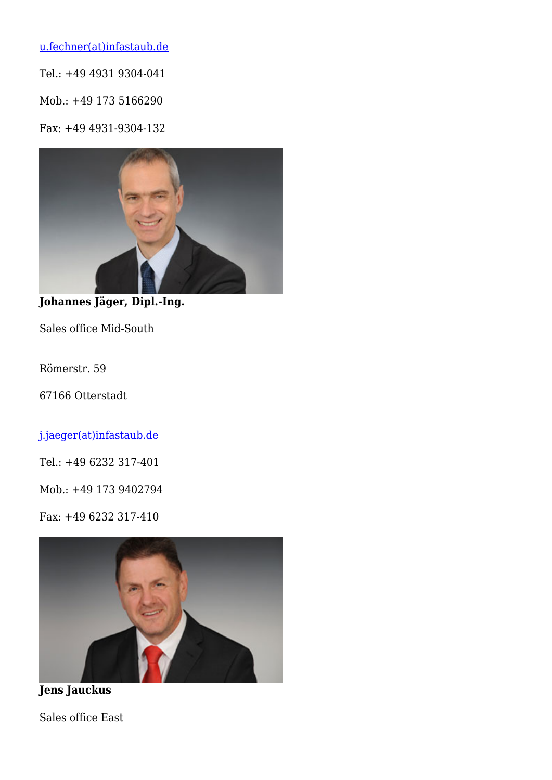[u.fechner\(at\)infastaub.de](https://www.infastaub.com/javascript:linkTo_UnCryptMailto()

Tel.: +49 4931 9304-041

Mob.: +49 173 5166290

Fax: +49 4931-9304-132



**Johannes Jäger, Dipl.-Ing.**

Sales office Mid-South

Römerstr. 59

67166 Otterstadt

[j.jaeger\(at\)infastaub.de](https://www.infastaub.com/javascript:linkTo_UnCryptMailto()

Tel.: +49 6232 317-401

Mob.: +49 173 9402794

Fax: +49 6232 317-410



**Jens Jauckus**

Sales office East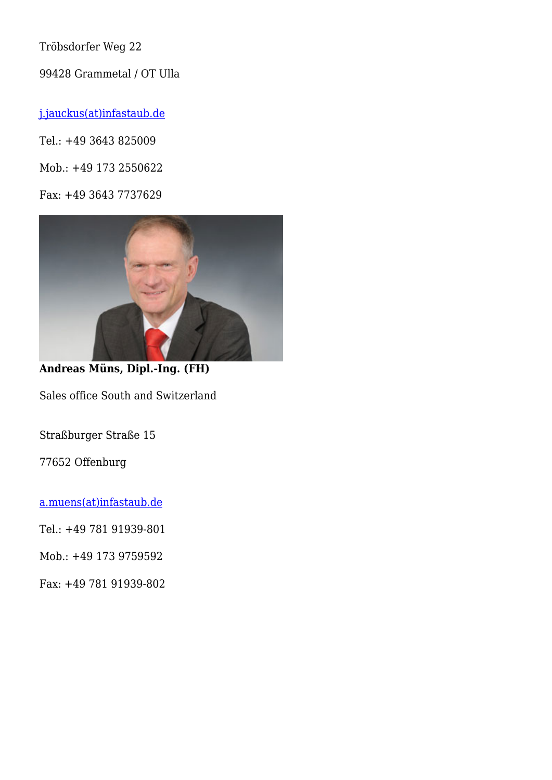Tröbsdorfer Weg 22

99428 Grammetal / OT Ulla

[j.jauckus\(at\)infastaub.de](https://www.infastaub.com/javascript:linkTo_UnCryptMailto()

Tel.: +49 3643 825009

Mob.: +49 173 2550622

Fax: +49 3643 7737629



**Andreas Müns, Dipl.-Ing. (FH)**

Sales office South and Switzerland

Straßburger Straße 15

77652 Offenburg

[a.muens\(at\)infastaub.de](https://www.infastaub.com/javascript:linkTo_UnCryptMailto()

Tel.: +49 781 91939-801

Mob.: +49 173 9759592

Fax: +49 781 91939-802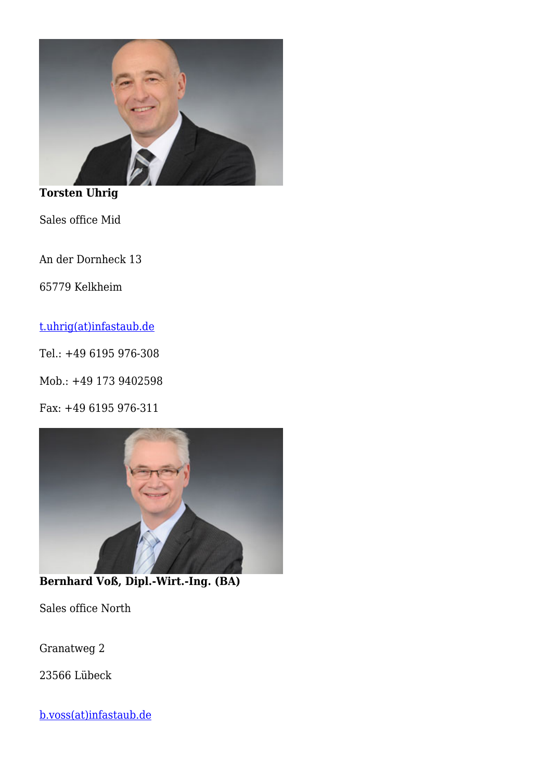

**Torsten Uhrig** Sales office Mid

An der Dornheck 13

65779 Kelkheim

[t.uhrig\(at\)infastaub.de](https://www.infastaub.com/javascript:linkTo_UnCryptMailto()

Tel.: +49 6195 976-308

Mob.: +49 173 9402598

Fax: +49 6195 976-311



**Bernhard Voß, Dipl.-Wirt.-Ing. (BA)**

Sales office North

Granatweg 2

23566 Lübeck

[b.voss\(at\)infastaub.de](https://www.infastaub.com/javascript:linkTo_UnCryptMailto()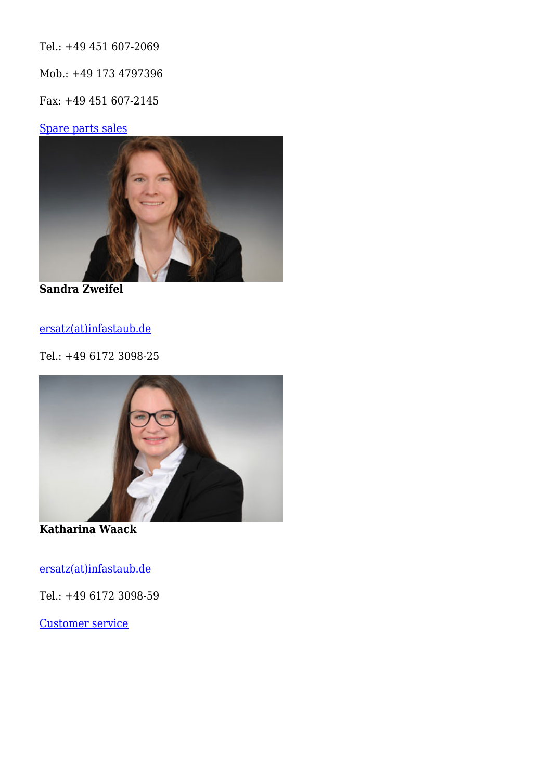Tel.: +49 451 607-2069

Mob.: +49 173 4797396

Fax: +49 451 607-2145

#### [Spare parts sales](#page--1-0)



**Sandra Zweifel**

#### [ersatz\(at\)infastaub.de](https://www.infastaub.com/javascript:linkTo_UnCryptMailto()

Tel.: +49 6172 3098-25



**Katharina Waack**

[ersatz\(at\)infastaub.de](https://www.infastaub.com/javascript:linkTo_UnCryptMailto()

Tel.: +49 6172 3098-59

[Customer service](#page--1-0)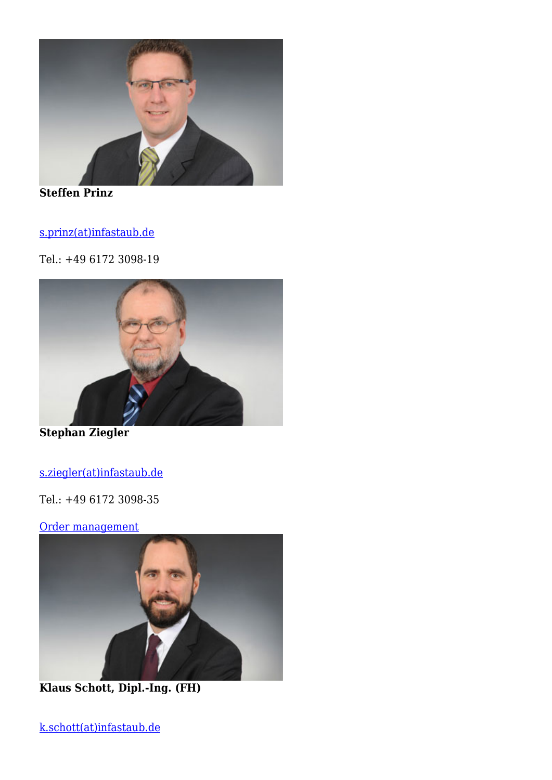

**Steffen Prinz**

[s.prinz\(at\)infastaub.de](https://www.infastaub.com/javascript:linkTo_UnCryptMailto()

Tel.: +49 6172 3098-19



**Stephan Ziegler**

[s.ziegler\(at\)infastaub.de](https://www.infastaub.com/javascript:linkTo_UnCryptMailto()

Tel.: +49 6172 3098-35

[Order management](#page--1-0)



**Klaus Schott, Dipl.-Ing. (FH)**

[k.schott\(at\)infastaub.de](https://www.infastaub.com/javascript:linkTo_UnCryptMailto()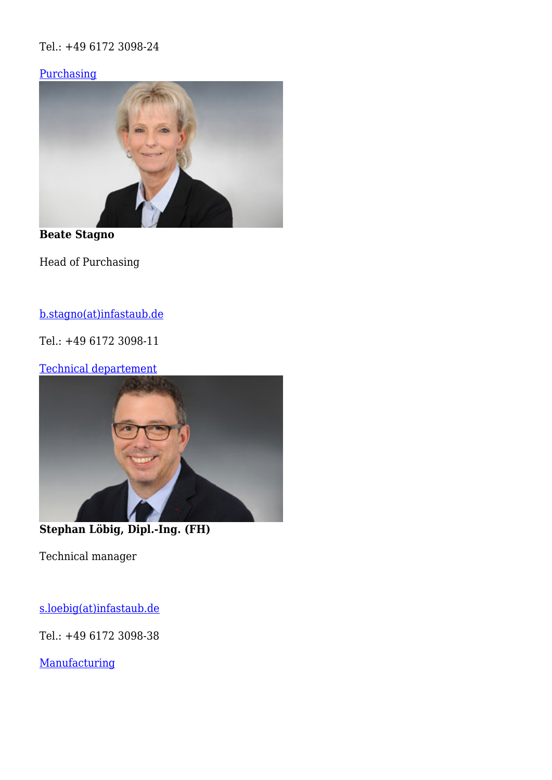### Tel.: +49 6172 3098-24

# **[Purchasing](#page--1-0)**



**Beate Stagno**

Head of Purchasing

# [b.stagno\(at\)infastaub.de](https://www.infastaub.com/javascript:linkTo_UnCryptMailto()

Tel.: +49 6172 3098-11

#### [Technical departement](#page--1-0)



**Stephan Löbig, Dipl.-Ing. (FH)**

Technical manager

[s.loebig\(at\)infastaub.de](https://www.infastaub.com/javascript:linkTo_UnCryptMailto()

Tel.: +49 6172 3098-38

**[Manufacturing](#page--1-0)**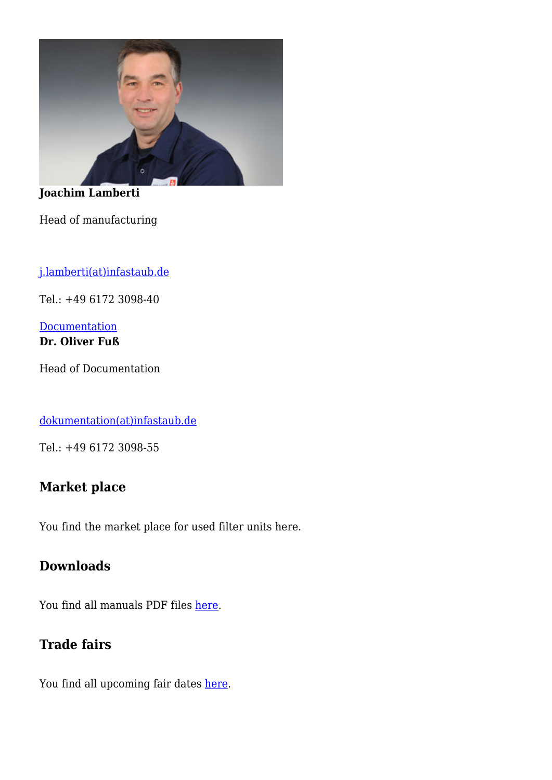

**Joachim Lamberti**

Head of manufacturing

[j.lamberti\(at\)infastaub.de](https://www.infastaub.com/javascript:linkTo_UnCryptMailto()

Tel.: +49 6172 3098-40

#### **[Documentation](#page--1-0) Dr. Oliver Fuß**

Head of Documentation

### [dokumentation\(at\)infastaub.de](https://www.infastaub.com/javascript:linkTo_UnCryptMailto()

Tel.: +49 6172 3098-55

# **Market place**

You find the market place for used filter units here.

# **Downloads**

You find all manuals PDF files [here](https://www.infastaub.com/service/downloads/).

# **Trade fairs**

You find all upcoming fair dates [here.](https://www.infastaub.com/company/infastaub-news/fair-dates/)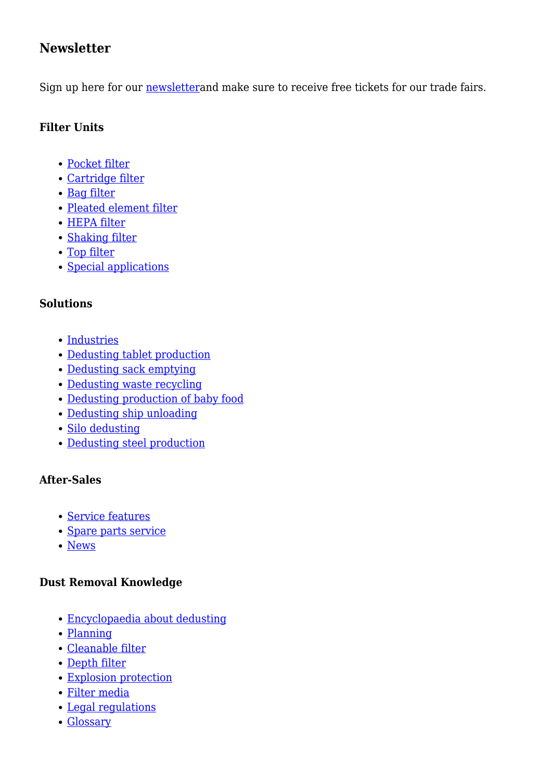# **Newsletter**

Sign up here for our **newsletterand** make sure to receive free tickets for our trade fairs.

### **Filter Units**

- [Pocket filter](https://www.infastaub.com/filter-units/pocket-filter/)
- [Cartridge filter](https://www.infastaub.com/filter-units/cartridge-filter/)
- [Bag filter](https://www.infastaub.com/filter-units/bag-filter/)
- [Pleated element filter](https://www.infastaub.com/filter-units/pleated-element-filter/)
- [HEPA filter](https://www.infastaub.com/filter-units/hepa-filter/)
- [Shaking filter](https://www.infastaub.com/filter-units/shaking-filter/)
- [Top filter](https://www.infastaub.com/filter-units/silo-top-filter/)
- [Special applications](https://www.infastaub.com/filter-units/special-applications/)

#### **Solutions**

- [Industries](https://www.infastaub.com/solutions/industries/)
- [Dedusting tablet production](https://www.infastaub.com/solutions/applications/dedusting-tablet-production/)
- [Dedusting sack emptying](https://www.infastaub.com/solutions/applications/dedusting-sack-emptying/)
- [Dedusting waste recycling](https://www.infastaub.com/solutions/applications/dedusting-waste-recycling/)
- [Dedusting production of baby food](https://www.infastaub.com/solutions/applications/dedusting-production-of-baby-food/)
- [Dedusting ship unloading](https://www.infastaub.com/solutions/applications/dedusting-ship-unloading/)
- [Silo dedusting](https://www.infastaub.com/solutions/applications/silo-dedusting/)
- [Dedusting steel production](https://www.infastaub.com/solutions/applications/dedusting-steel-production/)

### **After-Sales**

- [Service features](https://www.infastaub.com/service/service-features/)
- [Spare parts service](https://www.infastaub.com/service/spare-parts-service/)
- [News](https://www.infastaub.com/company/infastaub-news/news/)

### **Dust Removal Knowledge**

- [Encyclopaedia about dedusting](https://www.infastaub.com/knowledge-of-dust-removal/encyclopaedia-about-dedusting/)
- [Planning](https://www.infastaub.com/knowledge-of-dust-removal/encyclopaedia-about-dedusting/planning/)
- [Cleanable filter](https://www.infastaub.com/knowledge-of-dust-removal/encyclopaedia-about-dedusting/cleanable-filter/)
- [Depth filter](https://www.infastaub.com/knowledge-of-dust-removal/encyclopaedia-about-dedusting/depth-filter/)
- [Explosion protection](https://www.infastaub.com/knowledge-of-dust-removal/encyclopaedia-about-dedusting/explosion-protection/)
- [Filter media](https://www.infastaub.com/knowledge-of-dust-removal/encyclopaedia-about-dedusting/filter-media/)
- [Legal regulations](https://www.infastaub.com/knowledge-of-dust-removal/encyclopaedia-about-dedusting/legal-regulations/)
- [Glossary](https://www.infastaub.com/knowledge-of-dust-removal/glossary/)